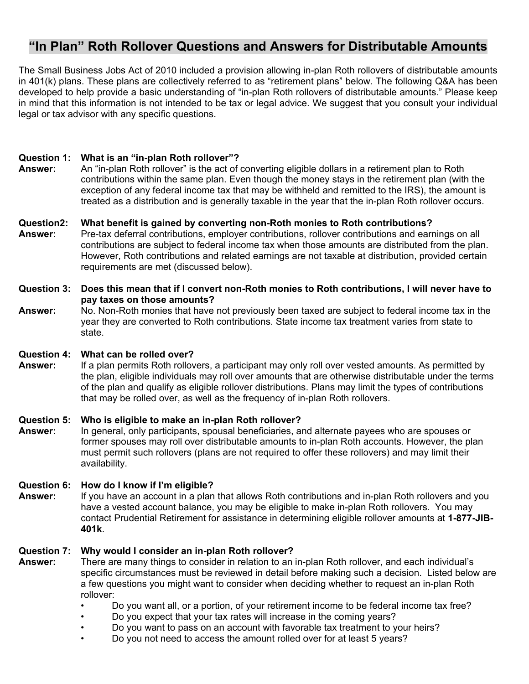# **"In Plan" Roth Rollover Questions and Answers for Distributable Amounts**

The Small Business Jobs Act of 2010 included a provision allowing in-plan Roth rollovers of distributable amounts in 401(k) plans. These plans are collectively referred to as "retirement plans" below. The following Q&A has been developed to help provide a basic understanding of "in-plan Roth rollovers of distributable amounts." Please keep in mind that this information is not intended to be tax or legal advice. We suggest that you consult your individual legal or tax advisor with any specific questions.

## **Question 1: What is an "in-plan Roth rollover"?**

**Answer:** An "in-plan Roth rollover" is the act of converting eligible dollars in a retirement plan to Roth contributions within the same plan. Even though the money stays in the retirement plan (with the exception of any federal income tax that may be withheld and remitted to the IRS), the amount is treated as a distribution and is generally taxable in the year that the in-plan Roth rollover occurs.

## **Question2: What benefit is gained by converting non-Roth monies to Roth contributions?**

**Answer:** Pre-tax deferral contributions, employer contributions, rollover contributions and earnings on all contributions are subject to federal income tax when those amounts are distributed from the plan. However, Roth contributions and related earnings are not taxable at distribution, provided certain requirements are met (discussed below).

## **Question 3: Does this mean that if I convert non-Roth monies to Roth contributions, I will never have to pay taxes on those amounts?**

 state. **Answer:** No. Non-Roth monies that have not previously been taxed are subject to federal income tax in the year they are converted to Roth contributions. State income tax treatment varies from state to

## **Question 4: What can be rolled over?**

**Answer:** If a plan permits Roth rollovers, a participant may only roll over vested amounts. As permitted by the plan, eligible individuals may roll over amounts that are otherwise distributable under the terms of the plan and qualify as eligible rollover distributions. Plans may limit the types of contributions that may be rolled over, as well as the frequency of in-plan Roth rollovers.

## **Question 5: Who is eligible to make an in-plan Roth rollover?**

**Answer:** In general, only participants, spousal beneficiaries, and alternate payees who are spouses or former spouses may roll over distributable amounts to in-plan Roth accounts. However, the plan must permit such rollovers (plans are not required to offer these rollovers) and may limit their availability.

## **Question 6: How do I know if I'm eligible?**

 have a vested account balance, you may be eligible to make in-plan Roth rollovers. You may **Answer:** If you have an account in a plan that allows Roth contributions and in-plan Roth rollovers and you contact Prudential Retirement for assistance in determining eligible rollover amounts at **1-877-JIB-401k**.

## **Question 7: Why would I consider an in-plan Roth rollover?**

- **Answer:** There are many things to consider in relation to an in-plan Roth rollover, and each individual's specific circumstances must be reviewed in detail before making such a decision. Listed below are a few questions you might want to consider when deciding whether to request an in-plan Roth rollover:
	- Do you want all, or a portion, of your retirement income to be federal income tax free?
	- Do you expect that your tax rates will increase in the coming years?
	- Do you want to pass on an account with favorable tax treatment to your heirs?
	- Do you not need to access the amount rolled over for at least 5 years?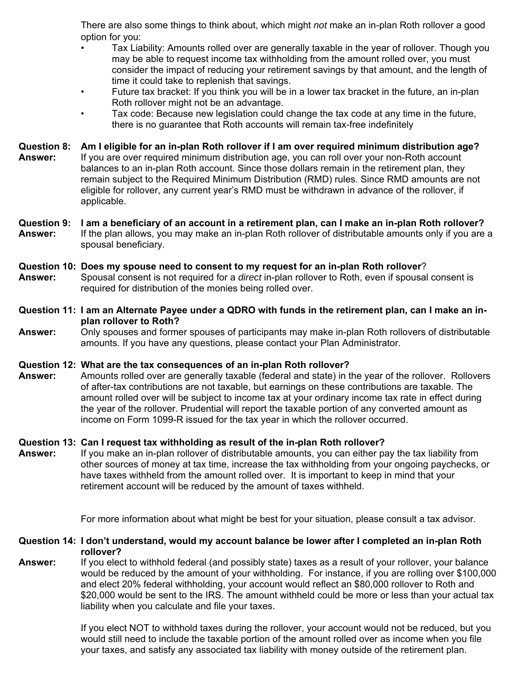There are also some things to think about, which might *not* make an in-plan Roth rollover a good option for you:

- Tax Liability: Amounts rolled over are generally taxable in the year of rollover. Though you may be able to request income tax withholding from the amount rolled over, you must consider the impact of reducing your retirement savings by that amount, and the length of time it could take to replenish that savings.
- Future tax bracket: If you think you will be in a lower tax bracket in the future, an in-plan Roth rollover might not be an advantage.
- Tax code: Because new legislation could change the tax code at any time in the future, there is no guarantee that Roth accounts will remain tax-free indefinitely

## **Question 8: Am I eligible for an in-plan Roth rollover if I am over required minimum distribution age?**

 applicable. **Answer:** If you are over required minimum distribution age, you can roll over your non-Roth account balances to an in-plan Roth account. Since those dollars remain in the retirement plan, they remain subject to the Required Minimum Distribution (RMD) rules. Since RMD amounts are not eligible for rollover, any current year's RMD must be withdrawn in advance of the rollover, if

## **Question 9: I am a beneficiary of an account in a retirement plan, can I make an in-plan Roth rollover?**

**Answer:** If the plan allows, you may make an in-plan Roth rollover of distributable amounts only if you are a spousal beneficiary.

## **Question 10: Does my spouse need to consent to my request for an in-plan Roth rollover**?

**Answer:** Spousal consent is not required for a *direct* in-plan rollover to Roth, even if spousal consent is required for distribution of the monies being rolled over.

## **Question 11: I am an Alternate Payee under a QDRO with funds in the retirement plan, can I make an inplan rollover to Roth?**

**Answer:** Only spouses and former spouses of participants may make in-plan Roth rollovers of distributable amounts. If you have any questions, please contact your Plan Administrator.

## **Question 12: What are the tax consequences of an in-plan Roth rollover?**

**Answer:** Amounts rolled over are generally taxable (federal and state) in the year of the rollover. Rollovers of after-tax contributions are not taxable, but earnings on these contributions are taxable. The amount rolled over will be subject to income tax at your ordinary income tax rate in effect during the year of the rollover. Prudential will report the taxable portion of any converted amount as income on Form 1099-R issued for the tax year in which the rollover occurred.

## **Question 13: Can I request tax withholding as result of the in-plan Roth rollover?**

**Answer:** If you make an in-plan rollover of distributable amounts, you can either pay the tax liability from other sources of money at tax time, increase the tax withholding from your ongoing paychecks, or have taxes withheld from the amount rolled over. It is important to keep in mind that your retirement account will be reduced by the amount of taxes withheld.

For more information about what might be best for your situation, please consult a tax advisor.

**Question 14: I don't understand, would my account balance be lower after I completed an in-plan Roth rollover?** 

**Answer:** If you elect to withhold federal (and possibly state) taxes as a result of your rollover, your balance would be reduced by the amount of your withholding. For instance, if you are rolling over \$100,000 and elect 20% federal withholding, your account would reflect an \$80,000 rollover to Roth and \$20,000 would be sent to the IRS. The amount withheld could be more or less than your actual tax liability when you calculate and file your taxes.

> If you elect NOT to withhold taxes during the rollover, your account would not be reduced, but you would still need to include the taxable portion of the amount rolled over as income when you file your taxes, and satisfy any associated tax liability with money outside of the retirement plan.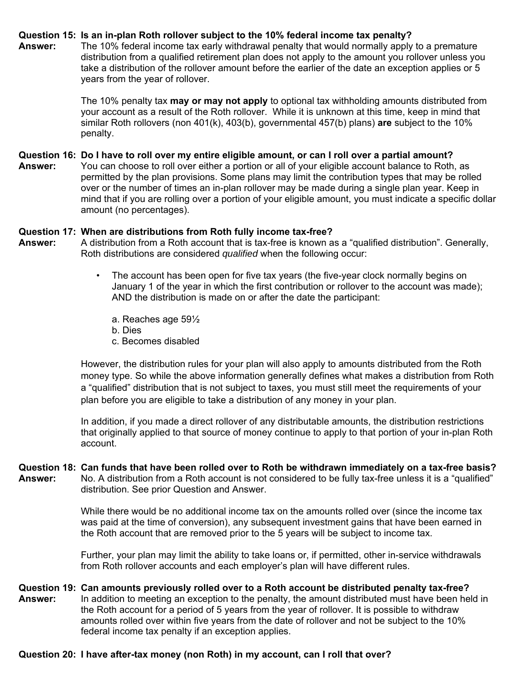## **Question 15: Is an in-plan Roth rollover subject to the 10% federal income tax penalty?**

**Answer:** The 10% federal income tax early withdrawal penalty that would normally apply to a premature distribution from a qualified retirement plan does not apply to the amount you rollover unless you take a distribution of the rollover amount before the earlier of the date an exception applies or 5 years from the year of rollover.

> The 10% penalty tax **may or may not apply** to optional tax withholding amounts distributed from your account as a result of the Roth rollover. While it is unknown at this time, keep in mind that similar Roth rollovers (non 401(k), 403(b), governmental 457(b) plans) **are** subject to the 10% penalty.

## **Question 16: Do I have to roll over my entire eligible amount, or can I roll over a partial amount?**

**Answer:** You can choose to roll over either a portion or all of your eligible account balance to Roth, as permitted by the plan provisions. Some plans may limit the contribution types that may be rolled over or the number of times an in-plan rollover may be made during a single plan year. Keep in mind that if you are rolling over a portion of your eligible amount, you must indicate a specific dollar amount (no percentages).

## **Question 17: When are distributions from Roth fully income tax-free?**

- **Answer:** A distribution from a Roth account that is tax-free is known as a "qualified distribution". Generally, Roth distributions are considered *qualified* when the following occur:
	- The account has been open for five tax years (the five-year clock normally begins on January 1 of the year in which the first contribution or rollover to the account was made); AND the distribution is made on or after the date the participant:
		- a. Reaches age 59½
		- b. Dies
		- c. Becomes disabled

However, the distribution rules for your plan will also apply to amounts distributed from the Roth money type. So while the above information generally defines what makes a distribution from Roth a "qualified" distribution that is not subject to taxes, you must still meet the requirements of your plan before you are eligible to take a distribution of any money in your plan.

In addition, if you made a direct rollover of any distributable amounts, the distribution restrictions that originally applied to that source of money continue to apply to that portion of your in-plan Roth account.

## **Question 18: Can funds that have been rolled over to Roth be withdrawn immediately on a tax-free basis?**

**Answer:** No. A distribution from a Roth account is not considered to be fully tax-free unless it is a "qualified" distribution. See prior Question and Answer.

> While there would be no additional income tax on the amounts rolled over (since the income tax was paid at the time of conversion), any subsequent investment gains that have been earned in the Roth account that are removed prior to the 5 years will be subject to income tax.

> Further, your plan may limit the ability to take loans or, if permitted, other in-service withdrawals from Roth rollover accounts and each employer's plan will have different rules.

## **Question 19: Can amounts previously rolled over to a Roth account be distributed penalty tax-free?**

**Answer:** In addition to meeting an exception to the penalty, the amount distributed must have been held in the Roth account for a period of 5 years from the year of rollover. It is possible to withdraw amounts rolled over within five years from the date of rollover and not be subject to the 10% federal income tax penalty if an exception applies.

## **Question 20: I have after-tax money (non Roth) in my account, can I roll that over?**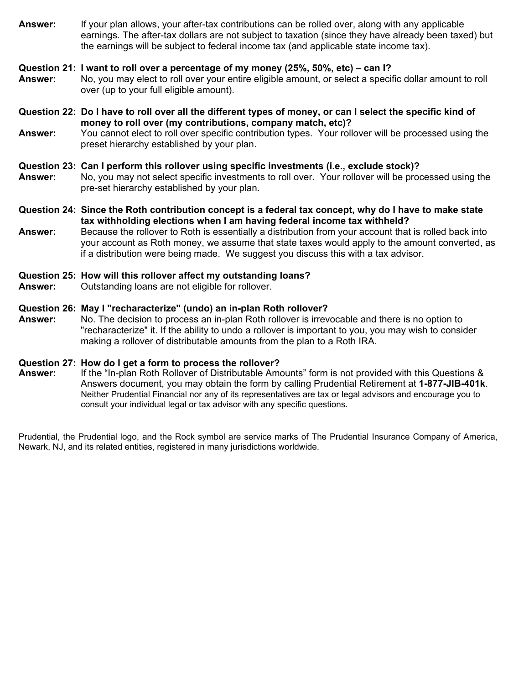**Answer:** If your plan allows, your after-tax contributions can be rolled over, along with any applicable earnings. The after-tax dollars are not subject to taxation (since they have already been taxed) but the earnings will be subject to federal income tax (and applicable state income tax).

## **Question 21: I want to roll over a percentage of my money (25%, 50%, etc) – can I?**

- **Answer:** No, you may elect to roll over your entire eligible amount, or select a specific dollar amount to roll over (up to your full eligible amount).
- **Question 22: Do I have to roll over all the different types of money, or can I select the specific kind of money to roll over (my contributions, company match, etc)?**
- **Answer:** You cannot elect to roll over specific contribution types. Your rollover will be processed using the preset hierarchy established by your plan.

## **Question 23: Can I perform this rollover using specific investments (i.e., exclude stock)?**

- **Answer:** No, you may not select specific investments to roll over. Your rollover will be processed using the pre-set hierarchy established by your plan.
- **Question 24: Since the Roth contribution concept is a federal tax concept, why do I have to make state tax withholding elections when I am having federal income tax withheld?**
- if a distribution were being made. We suggest you discuss this with a tax advisor. **Answer:** Because the rollover to Roth is essentially a distribution from your account that is rolled back into your account as Roth money, we assume that state taxes would apply to the amount converted, as

## **Question 25: How will this rollover affect my outstanding loans?**

**Answer:** Outstanding loans are not eligible for rollover.

## **Question 26: May I "recharacterize" (undo) an in-plan Roth rollover?**

**Answer:** No. The decision to process an in-plan Roth rollover is irrevocable and there is no option to "recharacterize" it. If the ability to undo a rollover is important to you, you may wish to consider making a rollover of distributable amounts from the plan to a Roth IRA.

## **Question 27: How do I get a form to process the rollover?**

**Answer:** If the "In-plan Roth Rollover of Distributable Amounts" form is not provided with this Questions & Answers document, you may obtain the form by calling Prudential Retirement at **1-877-JIB-401k**. Neither Prudential Financial nor any of its representatives are tax or legal advisors and encourage you to consult your individual legal or tax advisor with any specific questions.

Prudential, the Prudential logo, and the Rock symbol are service marks of The Prudential Insurance Company of America, Newark, NJ, and its related entities, registered in many jurisdictions worldwide.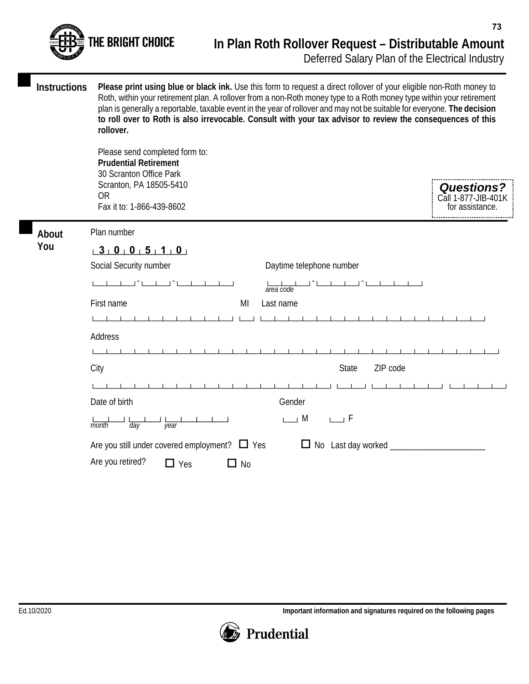

**Instructions Please print using blue or black ink.** Use this form to request a direct rollover of your eligible non-Roth money to Roth, within your retirement plan. A rollover from a non-Roth money type to a Roth money type within your retirement plan is generally a reportable, taxable event in the year of rollover and may not be suitable for everyone. **The decision to roll over to Roth is also irrevocable. Consult with your tax advisor to review the consequences of this rollover.** 

> Please send completed form to: **Prudential Retirement**  30 Scranton Office Park Scranton, PA 18505-5410 OR Fax it to: 1-866-439-8602

| <b>Questions?</b>        |  |
|--------------------------|--|
| ł<br>Call 1-877-JIB-401K |  |
| for assistance.          |  |

Plan number **About** 

| ×<br>۰.<br>.,<br>×<br>v<br>. . |  |
|--------------------------------|--|
|--------------------------------|--|

# **You <sup>3</sup> 0 0 5 1 0** └──┴──┴──┴──┴──┴──┘

| Social Security number<br>Daytime telephone number                                    |  |  |  |
|---------------------------------------------------------------------------------------|--|--|--|
| area code                                                                             |  |  |  |
| First name<br>MI<br>Last name                                                         |  |  |  |
|                                                                                       |  |  |  |
| Address                                                                               |  |  |  |
|                                                                                       |  |  |  |
| ZIP code<br>City<br><b>State</b>                                                      |  |  |  |
|                                                                                       |  |  |  |
| Date of birth<br>Gender                                                               |  |  |  |
| $\sqcup$ M<br>$\sqcup$ F<br>$\overline{day}$<br>month<br>year                         |  |  |  |
| Are you still under covered employment? $\Box$ Yes<br>No Last day worked _______<br>Ц |  |  |  |
| Are you retired?<br>Yes<br><b>No</b>                                                  |  |  |  |

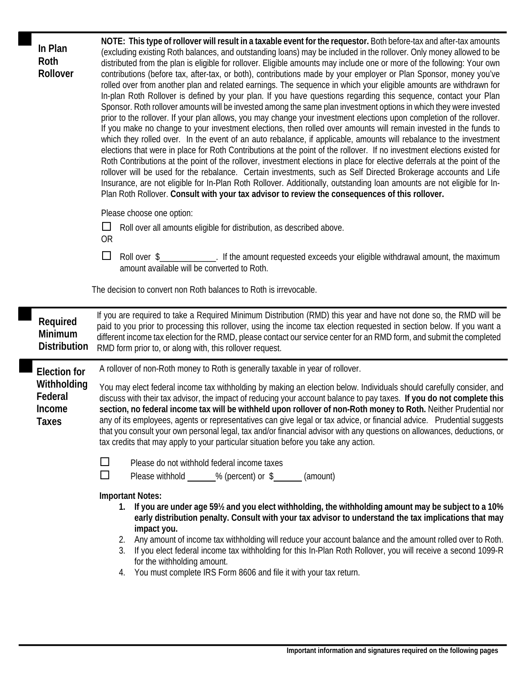| In Plan<br>Roth<br>Rollover                                      | NOTE: This type of rollover will result in a taxable event for the requestor. Both before-tax and after-tax amounts<br>(excluding existing Roth balances, and outstanding loans) may be included in the rollover. Only money allowed to be<br>distributed from the plan is eligible for rollover. Eligible amounts may include one or more of the following: Your own<br>contributions (before tax, after-tax, or both), contributions made by your employer or Plan Sponsor, money you've<br>rolled over from another plan and related earnings. The sequence in which your eligible amounts are withdrawn for<br>In-plan Roth Rollover is defined by your plan. If you have questions regarding this sequence, contact your Plan<br>Sponsor. Roth rollover amounts will be invested among the same plan investment options in which they were invested<br>prior to the rollover. If your plan allows, you may change your investment elections upon completion of the rollover.<br>If you make no change to your investment elections, then rolled over amounts will remain invested in the funds to<br>which they rolled over. In the event of an auto rebalance, if applicable, amounts will rebalance to the investment<br>elections that were in place for Roth Contributions at the point of the rollover. If no investment elections existed for<br>Roth Contributions at the point of the rollover, investment elections in place for elective deferrals at the point of the<br>rollover will be used for the rebalance. Certain investments, such as Self Directed Brokerage accounts and Life<br>Insurance, are not eligible for In-Plan Roth Rollover. Additionally, outstanding loan amounts are not eligible for In-<br>Plan Roth Rollover. Consult with your tax advisor to review the consequences of this rollover.<br>Please choose one option:<br>$\Box$<br>Roll over all amounts eligible for distribution, as described above.<br><b>OR</b><br>□<br>Roll over \$_____________. If the amount requested exceeds your eligible withdrawal amount, the maximum<br>amount available will be converted to Roth.<br>The decision to convert non Roth balances to Roth is irrevocable. |
|------------------------------------------------------------------|------------------------------------------------------------------------------------------------------------------------------------------------------------------------------------------------------------------------------------------------------------------------------------------------------------------------------------------------------------------------------------------------------------------------------------------------------------------------------------------------------------------------------------------------------------------------------------------------------------------------------------------------------------------------------------------------------------------------------------------------------------------------------------------------------------------------------------------------------------------------------------------------------------------------------------------------------------------------------------------------------------------------------------------------------------------------------------------------------------------------------------------------------------------------------------------------------------------------------------------------------------------------------------------------------------------------------------------------------------------------------------------------------------------------------------------------------------------------------------------------------------------------------------------------------------------------------------------------------------------------------------------------------------------------------------------------------------------------------------------------------------------------------------------------------------------------------------------------------------------------------------------------------------------------------------------------------------------------------------------------------------------------------------------------------------------------------------------------------------------------------------------------------------------------------------------------------|
| Required<br>Minimum<br><b>Distribution</b>                       | If you are required to take a Required Minimum Distribution (RMD) this year and have not done so, the RMD will be<br>paid to you prior to processing this rollover, using the income tax election requested in section below. If you want a<br>different income tax election for the RMD, please contact our service center for an RMD form, and submit the completed<br>RMD form prior to, or along with, this rollover request.                                                                                                                                                                                                                                                                                                                                                                                                                                                                                                                                                                                                                                                                                                                                                                                                                                                                                                                                                                                                                                                                                                                                                                                                                                                                                                                                                                                                                                                                                                                                                                                                                                                                                                                                                                    |
| <b>Election for</b><br>Withholding<br>Federal<br>Income<br>Taxes | A rollover of non-Roth money to Roth is generally taxable in year of rollover.<br>You may elect federal income tax withholding by making an election below. Individuals should carefully consider, and<br>discuss with their tax advisor, the impact of reducing your account balance to pay taxes. If you do not complete this<br>section, no federal income tax will be withheld upon rollover of non-Roth money to Roth. Neither Prudential nor<br>any of its employees, agents or representatives can give legal or tax advice, or financial advice. Prudential suggests<br>that you consult your own personal legal, tax and/or financial advisor with any questions on allowances, deductions, or<br>tax credits that may apply to your particular situation before you take any action.<br>$\Box$<br>Please do not withhold federal income taxes<br>$\Box$<br>Please withhold ______% (percent) or \$_______ (amount)<br><b>Important Notes:</b><br>1. If you are under age 59% and you elect withholding, the withholding amount may be subject to a 10%<br>early distribution penalty. Consult with your tax advisor to understand the tax implications that may<br>impact you.<br>Any amount of income tax withholding will reduce your account balance and the amount rolled over to Roth.<br>2.                                                                                                                                                                                                                                                                                                                                                                                                                                                                                                                                                                                                                                                                                                                                                                                                                                                                                          |

4. You must complete IRS Form 8606 and file it with your tax return.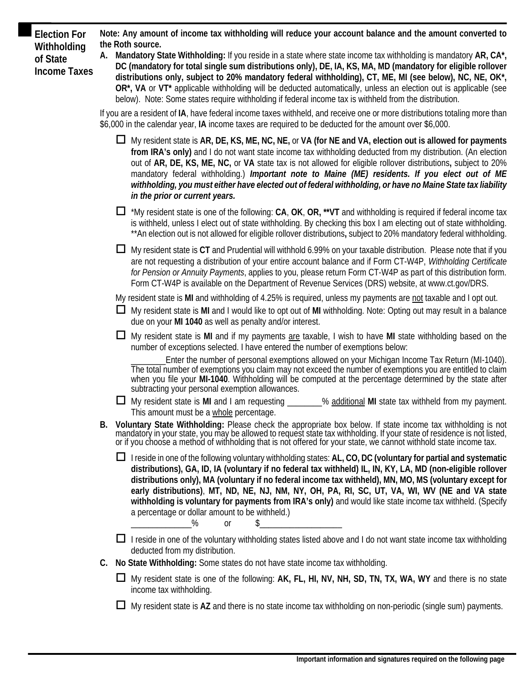**Election For Note: Any amount of income tax withholding will reduce your account balance and the amount converted to**

**Withholding** the Roth source.<br>
of State **A.** Mandatory State Withholding: If you reside in a state where state income tax withholding is mandatory AR, CA\*, of State<br>Income Taxes BC (mandatory for total single sum distributions only), DE, IA, KS, MA, MD (mandatory for eligible rollover<br>Income Taxes distributions only, subject to 20% mandatory federal withholding), CT, ME, MI ( **OR\*, VA** or **VT\*** applicable withholding will be deducted automatically, unless an election out is applicable (see below). Note: Some states require withholding if federal income tax is withheld from the distribution.

> If you are a resident of **IA**, have federal income taxes withheld, and receive one or more distributions totaling more than \$6,000 in the calendar year, **IA** income taxes are required to be deducted for the amount over \$6,000.

- My resident state is **AR, DE, KS, ME, NC, NE,** or **VA (for NE and VA, election out is allowed for payments from IRA's only)** and I do not want state income tax withholding deducted from my distribution. (An election out of **AR, DE, KS, ME, NC,** or **VA** state tax is not allowed for eligible rollover distributions**,** subject to 20% mandatory federal withholding.) *Important note to Maine (ME) residents. If you elect out of ME withholding, you must either have elected out of federal withholding, or have no Maine State tax liability in the prior or current years.*
- \*My resident state is one of the following: **CA**, **OK**, **OR, \*\*VT** and withholding is required if federal income tax is withheld, unless I elect out of state withholding. By checking this box I am electing out of state withholding. \*\*An election out is not allowed for eligible rollover distributions**,** subject to 20% mandatory federal withholding.
- My resident state is **CT** and Prudential will withhold 6.99% on your taxable distribution. Please note that if you are not requesting a distribution of your entire account balance and if Form CT-W4P, *Withholding Certificate for Pension or Annuity Payments*, applies to you, please return Form CT-W4P as part of this distribution form. Form CT-W4P is available on the Department of Revenue Services (DRS) website, at [www.ct.gov/DRS.](http://www.ct.gov/DRS)

My resident state is **MI** and withholding of 4.25% is required, unless my payments are not taxable and I opt out.

- My resident state is **MI** and I would like to opt out of **MI** withholding. Note: Opting out may result in a balance due on your **MI 1040** as well as penalty and/or interest.
- My resident state is **MI** and if my payments are taxable, I wish to have **MI** state withholding based on the number of exceptions selected. I have entered the number of exemptions below:

Enter the number of personal exemptions allowed on your Michigan Income Tax Return (MI-1040). The total number of exemptions you claim may not exceed the number of exemptions you are entitled to claim when you file your **MI-1040**. Withholding will be computed at the percentage determined by the state after subtracting your personal exemption allowances.

- **□** My resident state is MI and I am requesting \_\_\_\_\_\_\_% additional MI state tax withheld from my payment. This amount must be a whole percentage.
- B. Voluntary State Withholding: Please check the appropriate box below. If state income tax withholding is not<br>mandatory in your state, you may be allowed to request state tax withholding. If your state of residence is not
	- I reside in one of the following voluntary withholding states: **AL, CO, DC (voluntary for partial and systematic distributions), GA, ID, IA (voluntary if no federal tax withheld) IL, IN, KY, LA, MD (non-eligible rollover distributions only), MA (voluntary if no federal income tax withheld), MN, MO, MS (voluntary except for early distributions)**, **MT, ND, NE, NJ, NM, NY, OH, PA, RI, SC, UT, VA, WI, WV (NE and VA state withholding is voluntary for payments from IRA's only)** and would like state income tax withheld. (Specify a percentage or dollar amount to be withheld.) \_\_\_\_\_\_\_\_\_\_\_\_\_\_% or \$\_\_\_\_\_\_\_\_\_\_\_\_\_\_\_\_\_\_\_
	- $\Box$  I reside in one of the voluntary withholding states listed above and I do not want state income tax withholding deducted from my distribution.
- **C. No State Withholding:** Some states do not have state income tax withholding.
	- My resident state is one of the following: **AK, FL, HI, NV, NH, SD, TN, TX, WA, WY** and there is no state income tax withholding.
	- My resident state is **AZ** and there is no state income tax withholding on non-periodic (single sum) payments.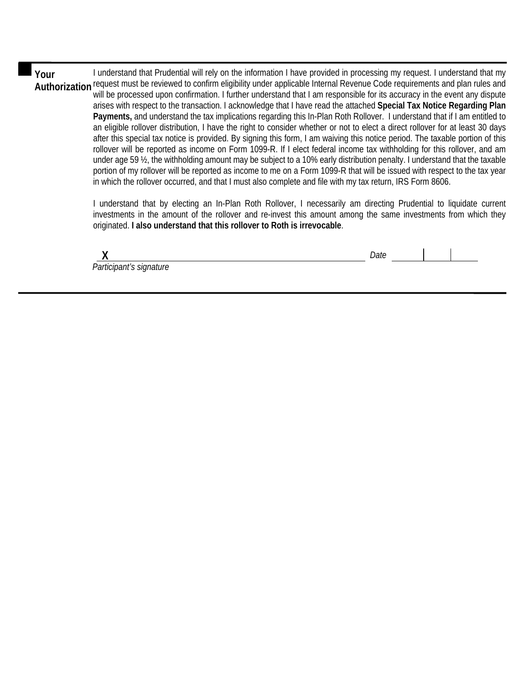**Your** I understand that Prudential will rely on the information I have provided in processing my request. I understand that my request must be reviewed to confirm eligibility under applicable Internal Revenue Code requirements and plan rules and **Authorization**  will be processed upon confirmation. I further understand that I am responsible for its accuracy in the event any dispute arises with respect to the transaction. I acknowledge that I have read the attached **Special Tax Notice Regarding Plan Payments,** and understand the tax implications regarding this In-Plan Roth Rollover. I understand that if I am entitled to an eligible rollover distribution, I have the right to consider whether or not to elect a direct rollover for at least 30 days after this special tax notice is provided. By signing this form, I am waiving this notice period. The taxable portion of this rollover will be reported as income on Form 1099-R. If I elect federal income tax withholding for this rollover, and am under age 59 ½, the withholding amount may be subject to a 10% early distribution penalty. I understand that the taxable portion of my rollover will be reported as income to me on a Form 1099-R that will be issued with respect to the tax year in which the rollover occurred, and that I must also complete and file with my tax return, IRS Form 8606.

> I understand that by electing an In-Plan Roth Rollover, I necessarily am directing Prudential to liquidate current investments in the amount of the rollover and re-invest this amount among the same investments from which they originated. **I also understand that this rollover to Roth is irrevocable**.

 **X** *Date Participant's signature*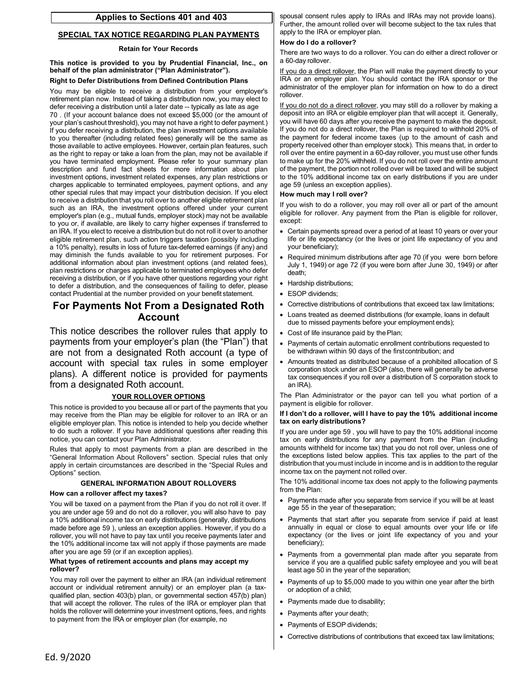## **Applies to Sections 401 and 403**

#### **SPECIAL TAX NOTICE REGARDING PLAN PAYMENTS**

#### **Retain for Your Records**

**This notice is provided to you by Prudential Financial, Inc., on behalf of the plan administrator ("Plan Administrator").** 

#### **Right to Defer Distributions from Defined Contribution Plans**

 retirement plan now. Instead of taking a distribution now, you may elect to defer receiving a distribution until a later date -- typically as late as age If you defer receiving a distribution, the plan investment options available other special rules that may impact your distribution decision. If you elect an IRA. If you elect to receive a distribution but do not roll it over to another receiving a distribution, or if you have other questions regarding your right You may be eligible to receive a distribution from your employer's 70 . (If your account balance does not exceed \$5,000 (or the amount of your plan's cashout threshold), you may not have a right to defer payment.) to you thereafter (including related fees) generally will be the same as those available to active employees. However, certain plan features, such as the right to repay or take a loan from the plan, may not be available if you have terminated employment. Please refer to your summary plan description and fund fact sheets for more information about plan investment options, investment related expenses, any plan restrictions or charges applicable to terminated employees, payment options, and any to receive a distribution that you roll over to another eligible retirement plan such as an IRA, the investment options offered under your current employer's plan (e.g., mutual funds, employer stock) may not be available to you or, if available, are likely to carry higher expenses if transferred to eligible retirement plan, such action triggers taxation (possibly including a 10% penalty), results in loss of future tax-deferred earnings (if any) and may diminish the funds available to you for retirement purposes. For additional information about plan investment options (and related fees), plan restrictions or charges applicable to terminated employees who defer to defer a distribution, and the consequences of failing to defer, please contact Prudential at the number provided on your benefit statement.

## **For Payments Not From a Designated Roth Account**

This notice describes the rollover rules that apply to payments from your employer's plan (the "Plan") that are not from a designated Roth account (a type of account with special tax rules in some employer plans). A different notice is provided for payments from a designated Roth account.

#### **YOUR ROLLOVER OPTIONS**

 to do such a rollover. If you have additional questions after reading this This notice is provided to you because all or part of the payments that you may receive from the Plan may be eligible for rollover to an IRA or an eligible employer plan. This notice is intended to help you decide whether notice, you can contact your Plan Administrator.

Rules that apply to most payments from a plan are described in the "General Information About Rollovers" section. Special rules that only apply in certain circumstances are described in the "Special Rules and Options" section.

#### **GENERAL INFORMATION ABOUT ROLLOVERS**

#### **How can a rollover affect my taxes?**

 You will be taxed on a payment from the Plan if you do not roll it over. If you are under age 59 and do not do a rollover, you will also have to pay made before age 59 ), unless an exception applies. However, if you do a a 10% additional income tax on early distributions (generally, distributions rollover, you will not have to pay tax until you receive payments later and the 10% additional income tax will not apply if those payments are made after you are age 59 (or if an exception applies).

#### **What types of retirement accounts and plans may accept my rollover?**

You may roll over the payment to either an IRA (an individual retirement account or individual retirement annuity) or an employer plan (a taxqualified plan, section 403(b) plan, or governmental section 457(b) plan) that will accept the rollover. The rules of the IRA or employer plan that holds the rollover will determine your investment options, fees, and rights to payment from the IRA or employer plan (for example, no

spousal consent rules apply to IRAs and IRAs may not provide loans). Further, the amount rolled over will become subject to the tax rules that apply to the IRA or employer plan.

#### **How do I do a rollover?**

 There are two ways to do a rollover. You can do either a direct rollover or a 60-day rollover.

If you do a direct rollover, the Plan will make the payment directly to your IRA or an employer plan. You should contact the IRA sponsor or the administrator of the employer plan for information on how to do a direct rollover.

 to make up for the 20% withheld. If you do not roll over the entire amount If you do not do a direct rollover, you may still do a rollover by making a deposit into an IRA or eligible employer plan that will accept it. Generally, you will have 60 days after you receive the payment to make the deposit. If you do not do a direct rollover, the Plan is required to withhold 20% of the payment for federal income taxes (up to the amount of cash and property received other than employer stock). This means that, in order to roll over the entire payment in a 60-day rollover, you must use other funds of the payment, the portion not rolled over will be taxed and will be subject to the 10% additional income tax on early distributions if you are under age 59 (unless an exception applies).

#### **How much may I roll over?**

 If you wish to do a rollover, you may roll over all or part of the amount eligible for rollover. Any payment from the Plan is eligible for rollover, except:

- Certain payments spread over a period of at least 10 years or over your life or life expectancy (or the lives or joint life expectancy of you and your beneficiary);
- Required minimum distributions after age 70 (if you were born before July 1, 1949) or age 72 (if you were born after June 30, 1949) or after death;
- Hardship distributions:
- ESOP dividends;
- Corrective distributions of contributions that exceed tax law limitations;
- Loans treated as deemed distributions (for example, loans in default due to missed payments before your employment ends);
- Cost of life insurance paid by the Plan;
- Payments of certain automatic enrollment contributions requested to be withdrawn within 90 days of the first contribution; and
- Amounts treated as distributed because of a prohibited allocation of S corporation stock under an ESOP (also, there will generally be adverse tax consequences if you roll over a distribution of S corporation stock to an IRA).

The Plan Administrator or the payor can tell you what portion of a payment is eligible for rollover.

#### **If I don't do a rollover, will I have to pay the 10% additional income tax on early distributions?**

If you are under age 59 , you will have to pay the 10% additional income tax on early distributions for any payment from the Plan (including amounts withheld for income tax) that you do not roll over, unless one of the exceptions listed below applies. This tax applies to the part of the distribution that you must include in income and is in addition to the regular income tax on the payment not rolled over.

The 10% additional income tax does not apply to the following payments from the Plan:

- Payments made after you separate from service if you will be at least age 55 in the year of theseparation;
- Payments that start after you separate from service if paid at least annually in equal or close to equal amounts over your life or life expectancy (or the lives or joint life expectancy of you and your beneficiary);
- Payments from a governmental plan made after you separate from service if you are a qualified public safety employee and you will be at least age 50 in the year of the separation;
- or adoption of a child; Payments of up to \$5,000 made to you within one year after the birth
- Payments made due to disability;
- Payments after your death;
- Payments of ESOP dividends;
- Corrective distributions of contributions that exceed tax law limitations;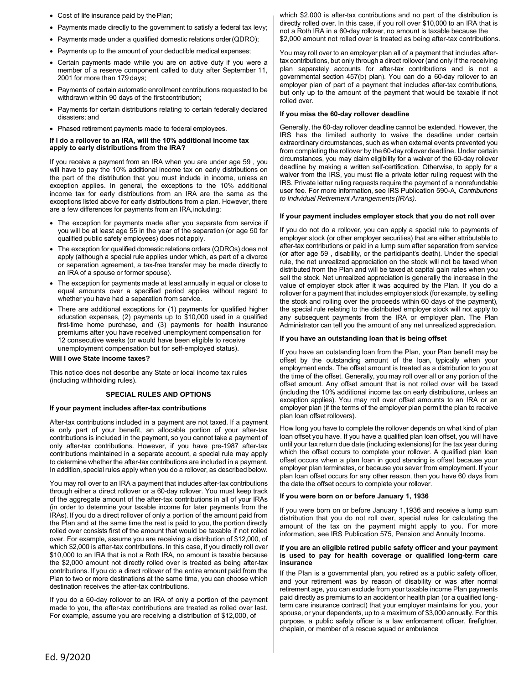- Cost of life insurance paid by the Plan;
- Payments made directly to the government to satisfy a federal tax levy;
- Payments made under a qualified domestic relations order(QDRO);
- Payments up to the amount of your deductible medical expenses;
- Certain payments made while you are on active duty if you were a member of a reserve component called to duty after September 11, 2001 for more than 179 days;
- Payments of certain automatic enrollment contributions requested to be withdrawn within 90 days of the firstcontribution;
- Payments for certain distributions relating to certain federally declared disasters; and
- Phased retirement payments made to federal employees.

#### **If I do a rollover to an IRA, will the 10% additional income tax apply to early distributions from the IRA?**

are a few differences for payments from an IRA, including: If you receive a payment from an IRA when you are under age 59 , you will have to pay the 10% additional income tax on early distributions on the part of the distribution that you must include in income, unless an exception applies. In general, the exceptions to the 10% additional income tax for early distributions from an IRA are the same as the exceptions listed above for early distributions from a plan. However, there

- The exception for payments made after you separate from service if you will be at least age 55 in the year of the separation (or age 50 for qualified public safety employees) does not apply.
- an IRA of a spouse or former spouse). The exception for qualified domestic relations orders (QDROs) does not apply (although a special rule applies under which, as part of a divorce or separation agreement, a tax-free transfer may be made directly to
- The exception for payments made at least annually in equal or close to equal amounts over a specified period applies without regard to whether you have had a separation from service.
- There are additional exceptions for (1) payments for qualified higher education expenses, (2) payments up to \$10,000 used in a qualified first-time home purchase, and (3) payments for health insurance premiums after you have received unemployment compensation for 12 consecutive weeks (or would have been eligible to receive unemployment compensation but for self-employed status).

#### **Will I owe State income taxes?**

This notice does not describe any State or local income tax rules (including withholding rules).

#### **SPECIAL RULES AND OPTIONS**

#### **If your payment includes after-tax contributions**

 After-tax contributions included in a payment are not taxed. If a payment contributions is included in the payment, so you cannot take a payment of contributions maintained in a separate account, a special rule may apply In addition, special rules apply when you do a rollover, as described below. is only part of your benefit, an allocable portion of your after-tax only after-tax contributions. However, if you have pre-1987 after-tax to determine whether the after-tax contributions are included in a payment.

 through either a direct rollover or a 60-day rollover. You must keep track IRAs). If you do a direct rollover of only a portion of the amount paid from contributions. If you do a direct rollover of the entire amount paid from the You may roll over to an IRA a payment that includes after-tax contributions of the aggregate amount of the after-tax contributions in all of your IRAs (in order to determine your taxable income for later payments from the the Plan and at the same time the rest is paid to you, the portion directly rolled over consists first of the amount that would be taxable if not rolled over. For example, assume you are receiving a distribution of \$12,000, of which \$2,000 is after-tax contributions. In this case, if you directly roll over \$10,000 to an IRA that is not a Roth IRA, no amount is taxable because the \$2,000 amount not directly rolled over is treated as being after-tax Plan to two or more destinations at the same time, you can choose which destination receives the after-tax contributions.

If you do a 60-day rollover to an IRA of only a portion of the payment made to you, the after-tax contributions are treated as rolled over last. For example, assume you are receiving a distribution of \$12,000, of

which \$2,000 is after-tax contributions and no part of the distribution is directly rolled over. In this case, if you roll over \$10,000 to an IRA that is not a Roth IRA in a 60-day rollover, no amount is taxable because the \$2,000 amount not rolled over is treated as being after-tax contributions.

You may roll over to an employer plan all of a payment that includes aftertax contributions, but only through a direct rollover (and only if the receiving plan separately accounts for after-tax contributions and is not a governmental section 457(b) plan). You can do a 60-day rollover to an employer plan of part of a payment that includes after-tax contributions, but only up to the amount of the payment that would be taxable if not rolled over.

#### **If you miss the 60-day rollover deadline**

 circumstances, you may claim eligibility for a waiver of the 60-day rollover Generally, the 60-day rollover deadline cannot be extended. However, the IRS has the limited authority to waive the deadline under certain extraordinary circumstances, such as when external events prevented you from completing the rollover by the 60-day rollover deadline. Under certain deadline by making a written self-certification. Otherwise, to apply for a waiver from the IRS, you must file a private letter ruling request with the IRS. Private letter ruling requests require the payment of a nonrefundable user fee. For more information, see IRS Publication 590-A, *Contributions to Individual Retirement Arrangements (IRAs)*.

#### **If your payment includes employer stock that you do not roll over**

 If you do not do a rollover, you can apply a special rule to payments of employer stock (or other employer securities) that are either attributable to after-tax contributions or paid in a lump sum after separation from service (or after age 59 , disability, or the participant's death). Under the special rule, the net unrealized appreciation on the stock will not be taxed when distributed from the Plan and will be taxed at capital gain rates when you sell the stock. Net unrealized appreciation is generally the increase in the value of employer stock after it was acquired by the Plan. If you do a rollover for a payment that includes employer stock (for example, by selling the stock and rolling over the proceeds within 60 days of the payment), the special rule relating to the distributed employer stock will not apply to any subsequent payments from the IRA or employer plan. The Plan Administrator can tell you the amount of any net unrealized appreciation.

#### **If you have an outstanding loan that is being offset**

 employment ends. The offset amount is treated as a distribution to you at If you have an outstanding loan from the Plan, your Plan benefit may be offset by the outstanding amount of the loan, typically when your the time of the offset. Generally, you may roll over all or any portion of the offset amount. Any offset amount that is not rolled over will be taxed (including the 10% additional income tax on early distributions, unless an exception applies). You may roll over offset amounts to an IRA or an employer plan (if the terms of the employer plan permit the plan to receive plan loan offset rollovers).

How long you have to complete the rollover depends on what kind of plan loan offset you have. If you have a qualified plan loan offset, you will have until your tax return due date (including extensions) for the tax year during which the offset occurs to complete your rollover. A qualified plan loan offset occurs when a plan loan in good standing is offset because your employer plan terminates, or because you sever from employment. If your plan loan offset occurs for any other reason, then you have 60 days from the date the offset occurs to complete your rollover.

#### **If you were born on or before January 1, 1936**

If you were born on or before January 1,1936 and receive a lump sum distribution that you do not roll over, special rules for calculating the amount of the tax on the payment might apply to you. For more information, see IRS Publication 575, Pension and Annuity Income.

#### **If you are an eligible retired public safety officer and your payment is used to pay for health coverage or qualified long-term care insurance**

 spouse, or your dependents, up to a maximum of \$3,000 annually. For this chaplain, or member of a rescue squad or ambulance If the Plan is a governmental plan, you retired as a public safety officer, and your retirement was by reason of disability or was after normal retirement age, you can exclude from your taxable income Plan payments paid directly as premiums to an accident or health plan (or a qualified longterm care insurance contract) that your employer maintains for you, your purpose, a public safety officer is a law enforcement officer, firefighter,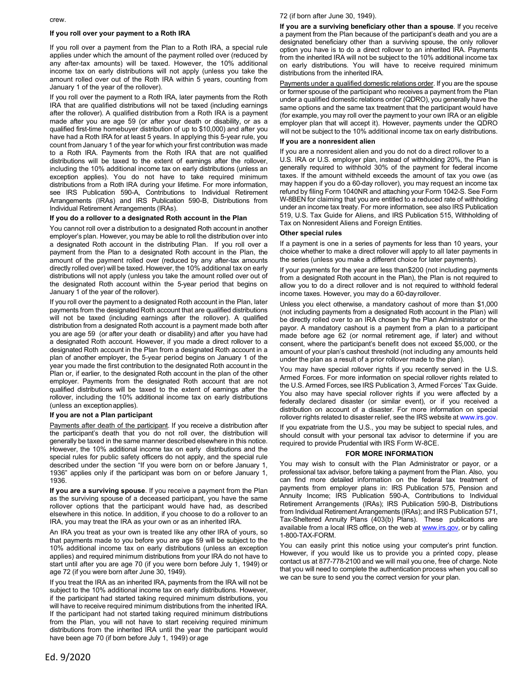crew.

#### **If you roll over your payment to a Roth IRA**

If you roll over a payment from the Plan to a Roth IRA, a special rule applies under which the amount of the payment rolled over (reduced by any after-tax amounts) will be taxed. However, the 10% additional income tax on early distributions will not apply (unless you take the amount rolled over out of the Roth IRA within 5 years, counting from January 1 of the year of the rollover).

 If you roll over the payment to a Roth IRA, later payments from the Roth distributions from a Roth IRA during your lifetime. For more information, IRA that are qualified distributions will not be taxed (including earnings after the rollover). A qualified distribution from a Roth IRA is a payment made after you are age 59 (or after your death or disability, or as a qualified first-time homebuyer distribution of up to \$10,000) and after you have had a Roth IRA for at least 5 years. In applying this 5-year rule, you count from January 1 of the year for which your first contribution was made to a Roth IRA. Payments from the Roth IRA that are not qualified distributions will be taxed to the extent of earnings after the rollover, including the 10% additional income tax on early distributions (unless an exception applies). You do not have to take required minimum see IRS Publication 590-A, Contributions to Individual Retirement Arrangements (IRAs) and IRS Publication 590-B, Distributions from Individual Retirement Arrangements (IRAs).

#### **If you do a rollover to a designated Roth account in the Plan**

 You cannot roll over a distribution to a designated Roth account in another a designated Roth account in the distributing Plan. If you roll over a employer's plan. However, you may be able to roll the distribution over into payment from the Plan to a designated Roth account in the Plan, the amount of the payment rolled over (reduced by any after-tax amounts directly rolled over) will be taxed. However, the 10% additional tax on early distributions will not apply (unless you take the amount rolled over out of the designated Roth account within the 5-year period that begins on January 1 of the year of the rollover).

 If you roll over the payment to a designated Roth account in the Plan, later distribution from a designated Roth account is a payment made both after you are age 59 (or after your death or disability) and after you have had a designated Roth account. However, if you made a direct rollover to a designated Roth account in the Plan from a designated Roth account in a payments from the designated Roth account that are qualified distributions will not be taxed (including earnings after the rollover). A qualified plan of another employer, the 5-year period begins on January 1 of the year you made the first contribution to the designated Roth account in the Plan or, if earlier, to the designated Roth account in the plan of the other employer. Payments from the designated Roth account that are not qualified distributions will be taxed to the extent of earnings after the rollover, including the 10% additional income tax on early distributions (unless an exception applies).

#### **If you are not a Plan participant**

Payments after death of the participant. If you receive a distribution after the participant's death that you do not roll over, the distribution will generally be taxed in the same manner described elsewhere in this notice. However, the 10% additional income tax on early distributions and the special rules for public safety officers do not apply, and the special rule described under the section "If you were born on or before January 1, 1936" applies only if the participant was born on or before January 1, 1936.

**If you are a surviving spouse**. If you receive a payment from the Plan as the surviving spouse of a deceased participant, you have the same rollover options that the participant would have had, as described elsewhere in this notice. In addition, if you choose to do a rollover to an IRA, you may treat the IRA as your own or as an inherited IRA.

An IRA you treat as your own is treated like any other IRA of yours, so that payments made to you before you are age 59 will be subject to the 10% additional income tax on early distributions (unless an exception applies) and required minimum distributions from your IRA do not have to start until after you are age 70 (if you were born before July 1, 1949) or age 72 (if you were born after June 30, 1949).

If you treat the IRA as an inherited IRA, payments from the IRA will not be subject to the 10% additional income tax on early distributions. However, if the participant had started taking required minimum distributions, you will have to receive required minimum distributions from the inherited IRA. If the participant had not started taking required minimum distributions from the Plan, you will not have to start receiving required minimum distributions from the inherited IRA until the year the participant would have been age 70 (if born before July 1, 1949) or age

#### 72 (if born after June 30, 1949).

**If you are a surviving beneficiary other than a spouse**. If you receive a payment from the Plan because of the participant's death and you are a designated beneficiary other than a surviving spouse, the only rollover option you have is to do a direct rollover to an inherited IRA. Payments from the inherited IRA will not be subject to the 10% additional income tax on early distributions. You will have to receive required minimum distributions from the inherited IRA.

Payments under a qualified domestic relations order. If you are the spouse or former spouse of the participant who receives a payment from the Plan under a qualified domestic relations order (QDRO), you generally have the same options and the same tax treatment that the participant would have (for example, you may roll over the payment to your own IRA or an eligible employer plan that will accept it). However, payments under the QDRO will not be subject to the 10% additional income tax on early distributions.

#### **If you are a nonresident alien**

If you are a nonresident alien and you do not do a direct rollover to a U.S. IRA or U.S. employer plan, instead of withholding 20%, the Plan is generally required to withhold 30% of the payment for federal income taxes. If the amount withheld exceeds the amount of tax you owe (as may happen if you do a 60-day rollover), you may request an income tax refund by filing Form 1040NR and attaching your Form 1042-S. See Form W-8BEN for claiming that you are entitled to a reduced rate of withholding under an income tax treaty. For more information, see also IRS Publication 519, U.S. Tax Guide for Aliens, and IRS Publication 515, Withholding of Tax on Nonresident Aliens and Foreign Entities.

#### **Other special rules**

If a payment is one in a series of payments for less than 10 years, your choice whether to make a direct rollover will apply to all later payments in the series (unless you make a different choice for later payments).

 income taxes. However, you may do a 60-day rollover. If your payments for the year are less than \$200 (not including payments from a designated Roth account in the Plan), the Plan is not required to allow you to do a direct rollover and is not required to withhold federal

 (not including payments from a designated Roth account in the Plan) will payor. A mandatory cashout is a payment from a plan to a participant Unless you elect otherwise, a mandatory cashout of more than \$1,000 be directly rolled over to an IRA chosen by the Plan Administrator or the made before age 62 (or normal retirement age, if later) and without consent, where the participant's benefit does not exceed \$5,000, or the amount of your plan's cashout threshold (not including any amounts held under the plan as a result of a prior rollover made to the plan).

 You may have special rollover rights if you recently served in the U.S. Armed Forces. For more information on special rollover rights related to the U.S. Armed Forces, see IRS Publication 3, Armed Forces' Tax Guide. You also may have special rollover rights if you were affected by a federally declared disaster (or similar event), or if you received a distribution on account of a disaster. For more information on special rollover rights related to disaster relief, see the IRS website at [www.irs.gov.](http://www.irs.gov) 

If you expatriate from the U.S., you may be subject to special rules, and should consult with your personal tax advisor to determine if you are required to provide Prudential with IRS Form W-8CE.

#### **FOR MORE INFORMATION**

 professional tax advisor, before taking a payment from the Plan. Also, you Tax-Sheltered Annuity Plans (403(b) Plans). These publications are You may wish to consult with the Plan Administrator or payor, or a can find more detailed information on the federal tax treatment of payments from employer plans in: IRS Publication 575, Pension and Annuity Income; IRS Publication 590-A, Contributions to Individual Retirement Arrangements (IRAs); IRS Publication 590-B, Distributions from Individual Retirement Arrangements (IRAs); and IRS Publication 571, available from a local IRS office, on the web at [www.irs.gov,](http://www.irs.gov) or by calling 1-800-TAX-FORM.

You can easily print this notice using your computer's print function. However, if you would like us to provide you a printed copy, please contact us at 877-778-2100 and we will mail you one, free of charge. Note that you will need to complete the authentication process when you call so we can be sure to send you the correct version for your plan.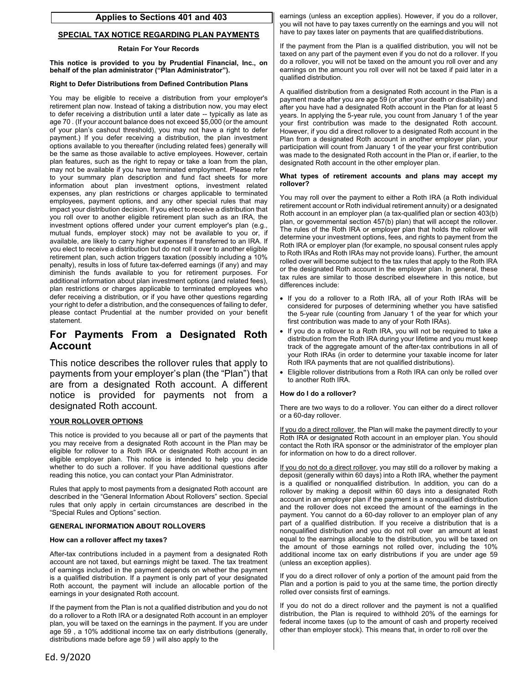## **Applies to Sections 401 and 403**

#### **SPECIAL TAX NOTICE REGARDING PLAN PAYMENTS**

#### **Retain For Your Records**

**This notice is provided to you by Prudential Financial, Inc., on behalf of the plan administrator ("Plan Administrator").** 

#### **Right to Defer Distributions from Defined Contribution Plans**

 impact your distribution decision. If you elect to receive a distribution that your right to defer a distribution, and the consequences of failing to defer, You may be eligible to receive a distribution from your employer's retirement plan now. Instead of taking a distribution now, you may elect to defer receiving a distribution until a later date -- typically as late as age 70 . (If your account balance does not exceed \$5,000 (or the amount of your plan's cashout threshold), you may not have a right to defer payment.) If you defer receiving a distribution, the plan investment options available to you thereafter (including related fees) generally will be the same as those available to active employees. However, certain plan features, such as the right to repay or take a loan from the plan, may not be available if you have terminated employment. Please refer to your summary plan description and fund fact sheets for more information about plan investment options, investment related expenses, any plan restrictions or charges applicable to terminated employees, payment options, and any other special rules that may you roll over to another eligible retirement plan such as an IRA, the investment options offered under your current employer's plan (e.g., mutual funds, employer stock) may not be available to you or, if available, are likely to carry higher expenses if transferred to an IRA. If you elect to receive a distribution but do not roll it over to another eligible retirement plan, such action triggers taxation (possibly including a 10% penalty), results in loss of future tax-deferred earnings (if any) and may diminish the funds available to you for retirement purposes. For additional information about plan investment options (and related fees), plan restrictions or charges applicable to terminated employees who defer receiving a distribution, or if you have other questions regarding please contact Prudential at the number provided on your benefit statement.

## **For Payments From a Designated Roth Account**

This notice describes the rollover rules that apply to payments from your employer's plan (the "Plan") that are from a designated Roth account. A different notice is provided for payments not from a designated Roth account.

#### **YOUR ROLLOVER OPTIONS**

This notice is provided to you because all or part of the payments that you may receive from a designated Roth account in the Plan may be eligible for rollover to a Roth IRA or designated Roth account in an eligible employer plan. This notice is intended to help you decide whether to do such a rollover. If you have additional questions after reading this notice, you can contact your Plan Administrator.

Rules that apply to most payments from a designated Roth account are described in the "General Information About Rollovers" section. Special rules that only apply in certain circumstances are described in the "Special Rules and Options" section.

#### **GENERAL INFORMATION ABOUT ROLLOVERS**

#### **How can a rollover affect my taxes?**

After-tax contributions included in a payment from a designated Roth account are not taxed, but earnings might be taxed. The tax treatment of earnings included in the payment depends on whether the payment is a qualified distribution. If a payment is only part of your designated Roth account, the payment will include an allocable portion of the earnings in your designated Roth account.

If the payment from the Plan is not a qualified distribution and you do not do a rollover to a Roth IRA or a designated Roth account in an employer plan, you will be taxed on the earnings in the payment. If you are under age 59 , a 10% additional income tax on early distributions (generally, distributions made before age 59 ) will also apply to the

earnings (unless an exception applies). However, if you do a rollover, you will not have to pay taxes currently on the earnings and you will not have to pay taxes later on payments that are qualified distributions.

If the payment from the Plan is a qualified distribution, you will not be taxed on any part of the payment even if you do not do a rollover. If you do a rollover, you will not be taxed on the amount you roll over and any earnings on the amount you roll over will not be taxed if paid later in a qualified distribution.

A qualified distribution from a designated Roth account in the Plan is a payment made after you are age 59 (or after your death or disability) and after you have had a designated Roth account in the Plan for at least 5 years. In applying the 5-year rule, you count from January 1 of the year your first contribution was made to the designated Roth account. However, if you did a direct rollover to a designated Roth account in the Plan from a designated Roth account in another employer plan, your participation will count from January 1 of the year your first contribution was made to the designated Roth account in the Plan or, if earlier, to the designated Roth account in the other employer plan.

#### **What types of retirement accounts and plans may accept my rollover?**

You may roll over the payment to either a Roth IRA (a Roth individual retirement account or Roth individual retirement annuity) or a designated Roth account in an employer plan (a tax-qualified plan or section 403(b) plan, or governmental section 457(b) plan) that will accept the rollover. The rules of the Roth IRA or employer plan that holds the rollover will determine your investment options, fees, and rights to payment from the Roth IRA or employer plan (for example, no spousal consent rules apply to Roth IRAs and Roth IRAs may not provide loans). Further, the amount rolled over will become subject to the tax rules that apply to the Roth IRA or the designated Roth account in the employer plan. In general, these tax rules are similar to those described elsewhere in this notice, but differences include:

- If you do a rollover to a Roth IRA, all of your Roth IRAs will be considered for purposes of determining whether you have satisfied the 5-year rule (counting from January 1 of the year for which your first contribution was made to any of your Roth IRAs).
- If you do a rollover to a Roth IRA, you will not be required to take a distribution from the Roth IRA during your lifetime and you must keep track of the aggregate amount of the after-tax contributions in all of your Roth IRAs (in order to determine your taxable income for later Roth IRA payments that are not qualified distributions).
- Eligible rollover distributions from a Roth IRA can only be rolled over to another Roth IRA.

#### **How do I do a rollover?**

There are two ways to do a rollover. You can either do a direct rollover or a 60-day rollover.

If you do a direct rollover, the Plan will make the payment directly to your Roth IRA or designated Roth account in an employer plan. You should contact the Roth IRA sponsor or the administrator of the employer plan for information on how to do a direct rollover.

If you do not do a direct rollover, you may still do a rollover by making a deposit (generally within 60 days) into a Roth IRA, whether the payment is a qualified or nonqualified distribution. In addition, you can do a rollover by making a deposit within 60 days into a designated Roth account in an employer plan if the payment is a nonqualified distribution and the rollover does not exceed the amount of the earnings in the payment. You cannot do a 60-day rollover to an employer plan of any part of a qualified distribution. If you receive a distribution that is a nonqualified distribution and you do not roll over an amount at least equal to the earnings allocable to the distribution, you will be taxed on the amount of those earnings not rolled over, including the 10% additional income tax on early distributions if you are under age 59 (unless an exception applies).

If you do a direct rollover of only a portion of the amount paid from the Plan and a portion is paid to you at the same time, the portion directly rolled over consists first of earnings.

If you do not do a direct rollover and the payment is not a qualified distribution, the Plan is required to withhold 20% of the earnings for federal income taxes (up to the amount of cash and property received other than employer stock). This means that, in order to roll over the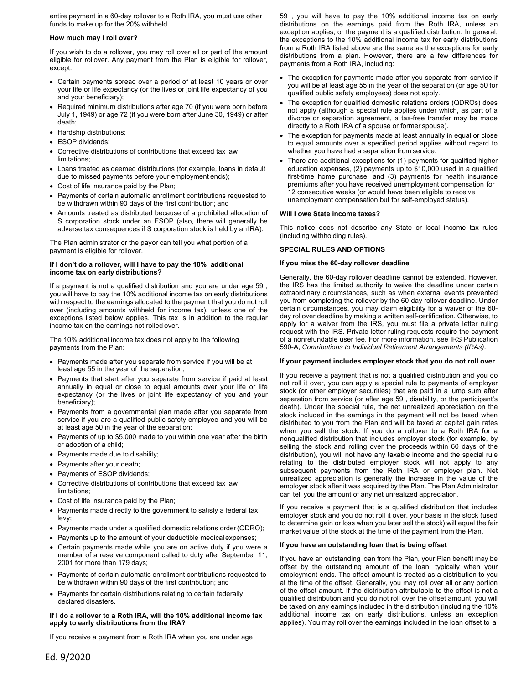entire payment in a 60-day rollover to a Roth IRA, you must use other funds to make up for the 20% withheld.

#### **How much may I roll over?**

 If you wish to do a rollover, you may roll over all or part of the amount eligible for rollover. Any payment from the Plan is eligible for rollover, except:

- Certain payments spread over a period of at least 10 years or over your life or life expectancy (or the lives or joint life expectancy of you and your beneficiary);
- Required minimum distributions after age 70 (if you were born before July 1, 1949) or age 72 (if you were born after June 30, 1949) or after death;
- Hardship distributions;
- ESOP dividends;
- Corrective distributions of contributions that exceed tax law limitations;
- Loans treated as deemed distributions (for example, loans in default due to missed payments before your employment ends);
- Cost of life insurance paid by the Plan;
- Payments of certain automatic enrollment contributions requested to be withdrawn within 90 days of the first contribution; and
- Amounts treated as distributed because of a prohibited allocation of S corporation stock under an ESOP (also, there will generally be adverse tax consequences if S corporation stock is held by an IRA).

The Plan administrator or the payor can tell you what portion of a payment is eligible for rollover.

#### **If I don't do a rollover, will I have to pay the 10% additional income tax on early distributions?**

 If a payment is not a qualified distribution and you are under age 59 , you will have to pay the 10% additional income tax on early distributions with respect to the earnings allocated to the payment that you do not roll over (including amounts withheld for income tax), unless one of the exceptions listed below applies. This tax is in addition to the regular income tax on the earnings not rolled over.

The 10% additional income tax does not apply to the following payments from the Plan:

- Payments made after you separate from service if you will be at least age 55 in the year of the separation;
- Payments that start after you separate from service if paid at least annually in equal or close to equal amounts over your life or life expectancy (or the lives or joint life expectancy of you and your beneficiary);
- Payments from a governmental plan made after you separate from service if you are a qualified public safety employee and you will be at least age 50 in the year of the separation;
- Payments of up to \$5,000 made to you within one year after the birth or adoption of a child;
- Payments made due to disability;
- Payments after your death;
- Payments of ESOP dividends;
- Corrective distributions of contributions that exceed tax law limitations;
- Cost of life insurance paid by the Plan;
- Payments made directly to the government to satisfy a federal tax levy;
- Payments made under a qualified domestic relations order (QDRO);
- Payments up to the amount of your deductible medical expenses;
- Certain payments made while you are on active duty if you were a member of a reserve component called to duty after September 11, 2001 for more than 179 days;
- Payments of certain automatic enrollment contributions requested to be withdrawn within 90 days of the first contribution; and
- Payments for certain distributions relating to certain federally declared disasters.

#### **If I do a rollover to a Roth IRA, will the 10% additional income tax apply to early distributions from the IRA?**

If you receive a payment from a Roth IRA when you are under age

59 , you will have to pay the 10% additional income tax on early distributions on the earnings paid from the Roth IRA, unless an exception applies, or the payment is a qualified distribution. In general, the exceptions to the 10% additional income tax for early distributions from a Roth IRA listed above are the same as the exceptions for early distributions from a plan. However, there are a few differences for payments from a Roth IRA, including:

- The exception for payments made after you separate from service if you will be at least age 55 in the year of the separation (or age 50 for qualified public safety employees) does not apply.
- not apply (although a special rule applies under which, as part of a The exception for qualified domestic relations orders (QDROs) does divorce or separation agreement, a tax-free transfer may be made directly to a Roth IRA of a spouse or former spouse).
- The exception for payments made at least annually in equal or close to equal amounts over a specified period applies without regard to whether you have had a separation from service.
- There are additional exceptions for (1) payments for qualified higher education expenses, (2) payments up to \$10,000 used in a qualified first-time home purchase, and (3) payments for health insurance premiums after you have received unemployment compensation for 12 consecutive weeks (or would have been eligible to receive unemployment compensation but for self-employed status).

#### **Will I owe State income taxes?**

This notice does not describe any State or local income tax rules (including withholding rules).

#### **SPECIAL RULES AND OPTIONS**

#### **If you miss the 60-day rollover deadline**

Generally, the 60-day rollover deadline cannot be extended. However, the IRS has the limited authority to waive the deadline under certain extraordinary circumstances, such as when external events prevented you from completing the rollover by the 60-day rollover deadline. Under certain circumstances, you may claim eligibility for a waiver of the 60 day rollover deadline by making a written self-certification. Otherwise, to apply for a waiver from the IRS, you must file a private letter ruling request with the IRS. Private letter ruling requests require the payment of a nonrefundable user fee. For more information, see IRS Publication 590-A, *Contributions to Individual Retirement Arrangements (IRAs)*.

#### **If your payment includes employer stock that you do not roll over**

If you receive a payment that is not a qualified distribution and you do not roll it over, you can apply a special rule to payments of employer stock (or other employer securities) that are paid in a lump sum after separation from service (or after age 59 , disability, or the participant's death). Under the special rule, the net unrealized appreciation on the stock included in the earnings in the payment will not be taxed when distributed to you from the Plan and will be taxed at capital gain rates when you sell the stock. If you do a rollover to a Roth IRA for a nonqualified distribution that includes employer stock (for example, by selling the stock and rolling over the proceeds within 60 days of the distribution), you will not have any taxable income and the special rule relating to the distributed employer stock will not apply to any subsequent payments from the Roth IRA or employer plan. Net unrealized appreciation is generally the increase in the value of the employer stock after it was acquired by the Plan. The Plan Administrator can tell you the amount of any net unrealized appreciation.

If you receive a payment that is a qualified distribution that includes employer stock and you do not roll it over, your basis in the stock (used to determine gain or loss when you later sell the stock) will equal the fair market value of the stock at the time of the payment from the Plan.

#### **If you have an outstanding loan that is being offset**

 employment ends. The offset amount is treated as a distribution to you If you have an outstanding loan from the Plan, your Plan benefit may be offset by the outstanding amount of the loan, typically when your at the time of the offset. Generally, you may roll over all or any portion of the offset amount. If the distribution attributable to the offset is not a qualified distribution and you do not roll over the offset amount, you will be taxed on any earnings included in the distribution (including the 10% additional income tax on early distributions, unless an exception applies). You may roll over the earnings included in the loan offset to a